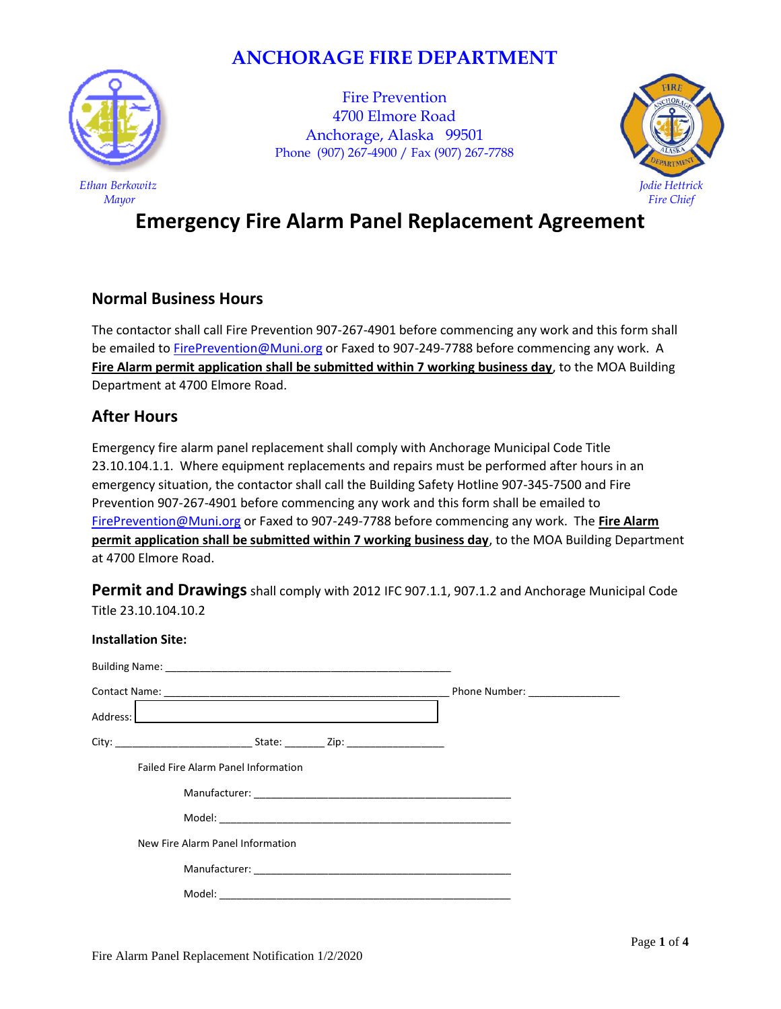## **ANCHORAGE FIRE DEPARTMENT**



*Ethan Berkowitz Mayor*

Fire Prevention 4700 Elmore Road Anchorage, Alaska 99501 Phone (907) 267-4900 / Fax (907) 267-7788



# **Emergency Fire Alarm Panel Replacement Agreement**

## **Normal Business Hours**

The contactor shall call Fire Prevention 907-267-4901 before commencing any work and this form shall be emailed to [FirePrevention@Muni.org](mailto:FirePrevention@Muni.org) or Faxed to 907-249-7788 before commencing any work. A **Fire Alarm permit application shall be submitted within 7 working business day**, to the MOA Building Department at 4700 Elmore Road.

## **After Hours**

Emergency fire alarm panel replacement shall comply with Anchorage Municipal Code Title 23.10.104.1.1. Where equipment replacements and repairs must be performed after hours in an emergency situation, the contactor shall call the Building Safety Hotline 907-345-7500 and Fire Prevention 907-267-4901 before commencing any work and this form shall be emailed to [FirePrevention@Muni.org](mailto:FirePrevention@Muni.org) or Faxed to 907-249-7788 before commencing any work. The **Fire Alarm permit application shall be submitted within 7 working business day**, to the MOA Building Department at 4700 Elmore Road.

**Permit and Drawings** shall comply with 2012 IFC 907.1.1, 907.1.2 and Anchorage Municipal Code Title 23.10.104.10.2

| <b>Installation Site:</b>                                                                                                                                                                                                            |                                 |
|--------------------------------------------------------------------------------------------------------------------------------------------------------------------------------------------------------------------------------------|---------------------------------|
|                                                                                                                                                                                                                                      |                                 |
|                                                                                                                                                                                                                                      | Phone Number: _________________ |
| Address: <u>New York: New York: New York: New York: New York: New York: New York: New York: New York: New York: New York: New York: New York: New York: New York: New York: New York: New York: New York: New York: New York: Ne</u> |                                 |
|                                                                                                                                                                                                                                      |                                 |
| <b>Failed Fire Alarm Panel Information</b>                                                                                                                                                                                           |                                 |
|                                                                                                                                                                                                                                      |                                 |
|                                                                                                                                                                                                                                      |                                 |
| New Fire Alarm Panel Information                                                                                                                                                                                                     |                                 |
|                                                                                                                                                                                                                                      |                                 |
|                                                                                                                                                                                                                                      |                                 |
|                                                                                                                                                                                                                                      |                                 |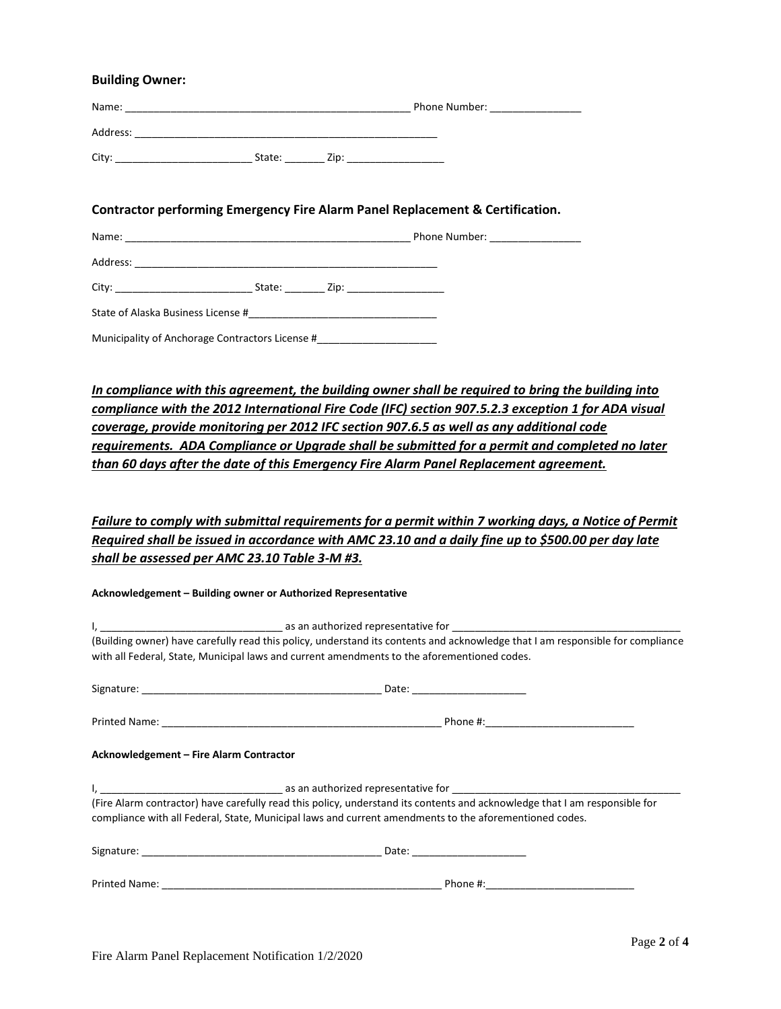#### **Building Owner:**

| Name:    |                | Phone Number: |
|----------|----------------|---------------|
| Address: |                |               |
| City:    | State:<br>Zip: |               |

#### **Contractor performing Emergency Fire Alarm Panel Replacement & Certification.**

|                                                 |  |                  | Phone Number: __________________ |  |  |
|-------------------------------------------------|--|------------------|----------------------------------|--|--|
|                                                 |  |                  |                                  |  |  |
|                                                 |  | State: Zip: Zip: |                                  |  |  |
|                                                 |  |                  |                                  |  |  |
| Municipality of Anchorage Contractors License # |  |                  |                                  |  |  |

*In compliance with this agreement, the building owner shall be required to bring the building into compliance with the 2012 International Fire Code (IFC) section 907.5.2.3 exception 1 for ADA visual coverage, provide monitoring per 2012 IFC section 907.6.5 as well as any additional code requirements. ADA Compliance or Upgrade shall be submitted for a permit and completed no later than 60 days after the date of this Emergency Fire Alarm Panel Replacement agreement.* 

### *Failure to comply with submittal requirements for a permit within 7 working days, a Notice of Permit Required shall be issued in accordance with AMC 23.10 and a daily fine up to \$500.00 per day late shall be assessed per AMC 23.10 Table 3-M #3.*

#### **Acknowledgement – Building owner or Authorized Representative**

| (Building owner) have carefully read this policy, understand its contents and acknowledge that I am responsible for compliance<br>with all Federal, State, Municipal laws and current amendments to the aforementioned codes.        |                                |  |
|--------------------------------------------------------------------------------------------------------------------------------------------------------------------------------------------------------------------------------------|--------------------------------|--|
|                                                                                                                                                                                                                                      | Date: ________________________ |  |
|                                                                                                                                                                                                                                      |                                |  |
| Acknowledgement - Fire Alarm Contractor                                                                                                                                                                                              |                                |  |
| (Fire Alarm contractor) have carefully read this policy, understand its contents and acknowledge that I am responsible for<br>compliance with all Federal, State, Municipal laws and current amendments to the aforementioned codes. |                                |  |
|                                                                                                                                                                                                                                      |                                |  |
|                                                                                                                                                                                                                                      | Phone #:                       |  |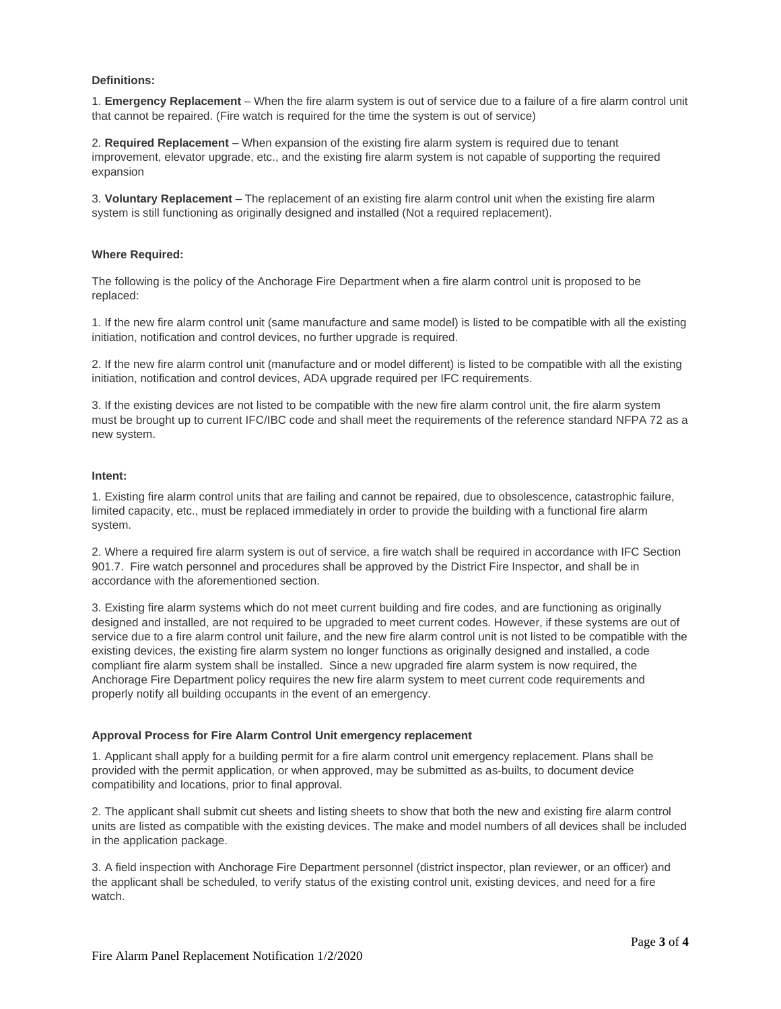#### **Definitions:**

1. **Emergency Replacement** – When the fire alarm system is out of service due to a failure of a fire alarm control unit that cannot be repaired. (Fire watch is required for the time the system is out of service)

2. **Required Replacement** – When expansion of the existing fire alarm system is required due to tenant improvement, elevator upgrade, etc., and the existing fire alarm system is not capable of supporting the required expansion

3. **Voluntary Replacement** – The replacement of an existing fire alarm control unit when the existing fire alarm system is still functioning as originally designed and installed (Not a required replacement).

#### **Where Required:**

The following is the policy of the Anchorage Fire Department when a fire alarm control unit is proposed to be replaced:

1. If the new fire alarm control unit (same manufacture and same model) is listed to be compatible with all the existing initiation, notification and control devices, no further upgrade is required.

2. If the new fire alarm control unit (manufacture and or model different) is listed to be compatible with all the existing initiation, notification and control devices, ADA upgrade required per IFC requirements.

3. If the existing devices are not listed to be compatible with the new fire alarm control unit, the fire alarm system must be brought up to current IFC/IBC code and shall meet the requirements of the reference standard NFPA 72 as a new system.

#### **Intent:**

1. Existing fire alarm control units that are failing and cannot be repaired, due to obsolescence, catastrophic failure, limited capacity, etc., must be replaced immediately in order to provide the building with a functional fire alarm system.

2. Where a required fire alarm system is out of service, a fire watch shall be required in accordance with IFC Section 901.7. Fire watch personnel and procedures shall be approved by the District Fire Inspector, and shall be in accordance with the aforementioned section.

3. Existing fire alarm systems which do not meet current building and fire codes, and are functioning as originally designed and installed, are not required to be upgraded to meet current codes. However, if these systems are out of service due to a fire alarm control unit failure, and the new fire alarm control unit is not listed to be compatible with the existing devices, the existing fire alarm system no longer functions as originally designed and installed, a code compliant fire alarm system shall be installed. Since a new upgraded fire alarm system is now required, the Anchorage Fire Department policy requires the new fire alarm system to meet current code requirements and properly notify all building occupants in the event of an emergency.

#### **Approval Process for Fire Alarm Control Unit emergency replacement**

1. Applicant shall apply for a building permit for a fire alarm control unit emergency replacement. Plans shall be provided with the permit application, or when approved, may be submitted as as-builts, to document device compatibility and locations, prior to final approval.

2. The applicant shall submit cut sheets and listing sheets to show that both the new and existing fire alarm control units are listed as compatible with the existing devices. The make and model numbers of all devices shall be included in the application package.

3. A field inspection with Anchorage Fire Department personnel (district inspector, plan reviewer, or an officer) and the applicant shall be scheduled, to verify status of the existing control unit, existing devices, and need for a fire watch.